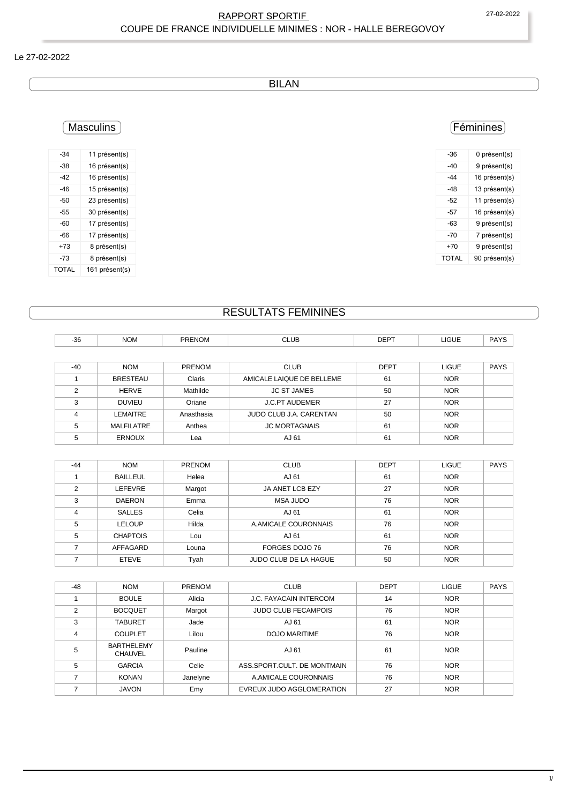### RAPPORT SPORTIF 27-02-2022 COUPE DE FRANCE INDIVIDUELLE MINIMES : NOR - HALLE BEREGOVOY

#### Le 27-02-2022

BILAN

# Masculins

| -34          | 11 présent(s)  |
|--------------|----------------|
| -38          | 16 présent(s)  |
| -42          | 16 présent(s)  |
| -46          | 15 présent(s)  |
| -50          | 23 présent(s)  |
| -55          | 30 présent(s)  |
| -60          | 17 présent(s)  |
| -66          | 17 présent(s)  |
| +73          | 8 présent(s)   |
| -73          | 8 présent(s)   |
| <b>TOTAL</b> | 161 présent(s) |

## Féminines

| -36   | 0 présent(s)  |
|-------|---------------|
| -40   | 9 présent(s)  |
| -44   | 16 présent(s) |
| -48   | 13 présent(s) |
| -52   | 11 présent(s) |
| -57   | 16 présent(s) |
| -63   | 9 présent(s)  |
| -70   | 7 présent(s)  |
| $+70$ | 9 présent(s)  |
| TOTAL | 90 présent(s) |
|       |               |

# RESULTATS FEMININES

| $-36$          | <b>NOM</b>      | PRENOM     | <b>CLUB</b>               | <b>DEPT</b> | <b>LIGUE</b> | <b>PAYS</b> |
|----------------|-----------------|------------|---------------------------|-------------|--------------|-------------|
|                |                 |            |                           |             |              |             |
| $-40$          | <b>NOM</b>      | PRENOM     | <b>CLUB</b>               | <b>DEPT</b> | <b>LIGUE</b> | <b>PAYS</b> |
|                | <b>BRESTEAU</b> | Claris     | AMICALE LAIQUE DE BELLEME | 61          | <b>NOR</b>   |             |
| $\mathfrak{p}$ | <b>HERVE</b>    | Mathilde   | <b>JC ST JAMES</b>        | 50          | <b>NOR</b>   |             |
| 3              | <b>DUVIEU</b>   | Oriane     | <b>J.C.PT AUDEMER</b>     | 27          | <b>NOR</b>   |             |
| $\overline{4}$ | LEMAITRE        | Anasthasia | JUDO CLUB J.A. CARENTAN   | 50          | <b>NOR</b>   |             |
| 5              | MALFILATRE      | Anthea     | <b>JC MORTAGNAIS</b>      | 61          | <b>NOR</b>   |             |
| 5              | <b>ERNOUX</b>   | Lea        | AJ 61                     | 61          | <b>NOR</b>   |             |

| $-44$ | <b>NOM</b>      | <b>PRENOM</b> | <b>CLUB</b>                  | <b>DEPT</b> | <b>LIGUE</b> | <b>PAYS</b> |
|-------|-----------------|---------------|------------------------------|-------------|--------------|-------------|
|       | <b>BAILLEUL</b> | Helea         | AJ 61                        | 61          | <b>NOR</b>   |             |
| 2     | <b>LEFEVRE</b>  | Margot        | JA ANET LCB EZY              | 27          | <b>NOR</b>   |             |
| 3     | <b>DAERON</b>   | Emma          | <b>MSA JUDO</b>              | 76          | <b>NOR</b>   |             |
| 4     | <b>SALLES</b>   | Celia         | AJ 61                        | 61          | <b>NOR</b>   |             |
| 5     | <b>LELOUP</b>   | Hilda         | A.AMICALE COURONNAIS         | 76          | <b>NOR</b>   |             |
| 5     | <b>CHAPTOIS</b> | Lou           | AJ 61                        | 61          | <b>NOR</b>   |             |
|       | AFFAGARD        | Louna         | FORGES DOJO 76               | 76          | <b>NOR</b>   |             |
|       | <b>ETEVE</b>    | Tyah          | <b>JUDO CLUB DE LA HAGUE</b> | 50          | <b>NOR</b>   |             |

| $-48$ | <b>NOM</b>                          | PRENOM   | <b>CLUB</b>                   | <b>DEPT</b> | <b>LIGUE</b> | <b>PAYS</b> |
|-------|-------------------------------------|----------|-------------------------------|-------------|--------------|-------------|
|       | <b>BOULE</b>                        | Alicia   | <b>J.C. FAYACAIN INTERCOM</b> | 14          | <b>NOR</b>   |             |
| 2     | <b>BOCQUET</b>                      | Margot   | <b>JUDO CLUB FECAMPOIS</b>    | 76          | <b>NOR</b>   |             |
| 3     | <b>TABURET</b>                      | Jade     | AJ 61                         | 61          | <b>NOR</b>   |             |
|       | <b>COUPLET</b>                      | Lilou    | DOJO MARITIME                 | 76          | <b>NOR</b>   |             |
| 5     | <b>BARTHELEMY</b><br><b>CHAUVEL</b> | Pauline  | AJ 61                         | 61          | <b>NOR</b>   |             |
| 5     | <b>GARCIA</b>                       | Celie    | ASS SPORT CULT. DE MONTMAIN   | 76          | <b>NOR</b>   |             |
|       | <b>KONAN</b>                        | Janelyne | A.AMICALE COURONNAIS          | 76          | <b>NOR</b>   |             |
|       | <b>JAVON</b>                        | Emy      | EVREUX JUDO AGGLOMERATION     | 27          | <b>NOR</b>   |             |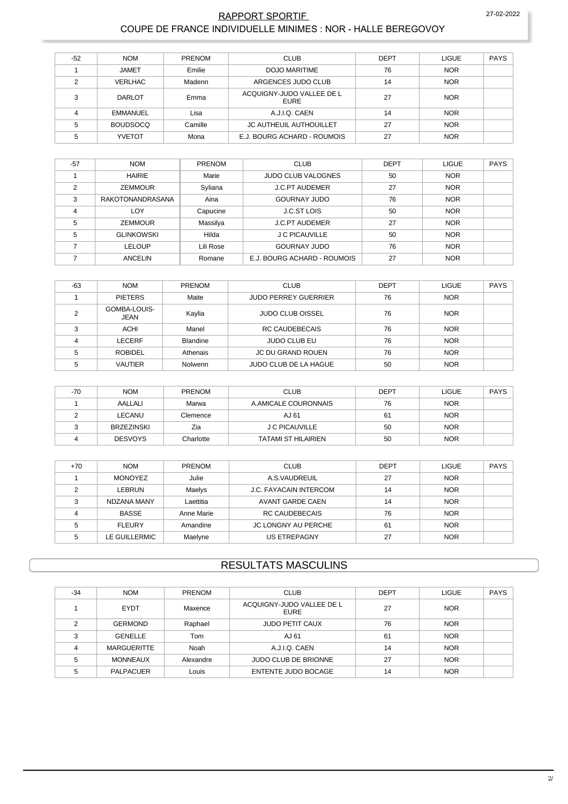#### RAPPORT SPORTIF COUPE DE FRANCE INDIVIDUELLE MINIMES : NOR - HALLE BEREGOVOY

| $-52$ | <b>NOM</b>      | PRENOM  | <b>CLUB</b>                              | <b>DEPT</b> | <b>LIGUE</b> | PAYS |
|-------|-----------------|---------|------------------------------------------|-------------|--------------|------|
|       | <b>JAMET</b>    | Emilie  | DOJO MARITIME                            | 76          | <b>NOR</b>   |      |
| C     | <b>VERLHAC</b>  | Madenn  | ARGENCES JUDO CLUB                       | 14          | <b>NOR</b>   |      |
| っ     | <b>DARLOT</b>   | Emma    | ACQUIGNY-JUDO VALLEE DE L<br><b>EURE</b> | 27          | <b>NOR</b>   |      |
|       | EMMANUEL        | Lisa    | A.J.I.Q. CAEN                            | 14          | <b>NOR</b>   |      |
| 5     | <b>BOUDSOCQ</b> | Camille | JC AUTHEUIL AUTHOUILLET                  | 27          | <b>NOR</b>   |      |
|       | <b>YVETOT</b>   | Mona    | E.J. BOURG ACHARD - ROUMOIS              | 27          | <b>NOR</b>   |      |

| $-57$          | <b>NOM</b>        | <b>PRENOM</b> | <b>CLUB</b>                 | <b>DEPT</b> | <b>LIGUE</b> | <b>PAYS</b> |
|----------------|-------------------|---------------|-----------------------------|-------------|--------------|-------------|
|                | <b>HAIRIE</b>     | Marie         | <b>JUDO CLUB VALOGNES</b>   | 50          | <b>NOR</b>   |             |
| $\overline{2}$ | <b>ZEMMOUR</b>    | Syliana       | <b>J.C.PT AUDEMER</b>       | 27          | <b>NOR</b>   |             |
| 3              | RAKOTONANDRASANA  | Aina          | <b>GOURNAY JUDO</b>         | 76          | <b>NOR</b>   |             |
| $\overline{4}$ | LOY               | Capucine      | <b>J.C.ST LOIS</b>          | 50          | <b>NOR</b>   |             |
| 5              | <b>ZEMMOUR</b>    | Massilya      | <b>J.C.PT AUDEMER</b>       | 27          | <b>NOR</b>   |             |
| 5              | <b>GLINKOWSKI</b> | Hilda         | J C PICAUVILLE              | 50          | <b>NOR</b>   |             |
|                | LELOUP            | Lili Rose     | <b>GOURNAY JUDO</b>         | 76          | <b>NOR</b>   |             |
|                | <b>ANCELIN</b>    | Romane        | E.J. BOURG ACHARD - ROUMOIS | 27          | <b>NOR</b>   |             |

| $-63$  | <b>NOM</b>                  | <b>PRENOM</b>   | <b>CLUB</b>                  | DEPT | <b>LIGUE</b> | PAYS |
|--------|-----------------------------|-----------------|------------------------------|------|--------------|------|
|        | <b>PIETERS</b>              | Maite           | <b>JUDO PERREY GUERRIER</b>  | 76   | <b>NOR</b>   |      |
| c      | GOMBA-LOUIS-<br><b>JEAN</b> | Kaylia          | <b>JUDO CLUB OISSEL</b>      | 76   | <b>NOR</b>   |      |
| $\sim$ | <b>ACHI</b>                 | Manel           | <b>RC CAUDEBECAIS</b>        | 76   | <b>NOR</b>   |      |
| 4      | LECERF                      | <b>Blandine</b> | <b>JUDO CLUB EU</b>          | 76   | <b>NOR</b>   |      |
| 5      | <b>ROBIDEL</b>              | Athenais        | <b>JC DU GRAND ROUEN</b>     | 76   | <b>NOR</b>   |      |
|        | VAUTIER                     | Nolwenn         | <b>JUDO CLUB DE LA HAGUE</b> | 50   | <b>NOR</b>   |      |

| $-70$ | <b>NOM</b>     | <b>PRENOM</b> | <b>CLUB</b>                | <b>DEPT</b> | <b>LIGUE</b> | PAYS |
|-------|----------------|---------------|----------------------------|-------------|--------------|------|
|       | AALLALI        | Marwa         | A AMICALE COURONNAIS       | 76          | <b>NOR</b>   |      |
|       | LECANU         | Clemence      | AJ 61                      | 61          | <b>NOR</b>   |      |
|       | BRZEZINSKI     | Zia           | <b>J C PICAUVILLE</b>      | 50          | <b>NOR</b>   |      |
|       | <b>DESVOYS</b> | Charlotte     | <b>TATAMI ST HILAIRIEN</b> | 50          | <b>NOR</b>   |      |

| $+70$ | <b>NOM</b>     | <b>PRENOM</b> | <b>CLUB</b>                   | <b>DEPT</b> | <b>LIGUE</b> | PAYS |
|-------|----------------|---------------|-------------------------------|-------------|--------------|------|
|       | <b>MONOYEZ</b> | Julie         | A.S.VAUDREUIL                 | 27          | <b>NOR</b>   |      |
|       | LEBRUN         | Maelys        | <b>J.C. FAYACAIN INTERCOM</b> | 14          | <b>NOR</b>   |      |
|       | NDZANA MANY    | Laettitia     | <b>AVANT GARDE CAEN</b>       | 14          | <b>NOR</b>   |      |
|       | <b>BASSE</b>   | Anne Marie    | <b>RC CAUDEBECAIS</b>         | 76          | <b>NOR</b>   |      |
|       | <b>FLEURY</b>  | Amandine      | JC LONGNY AU PERCHE           | 61          | <b>NOR</b>   |      |
|       | LE GUILLERMIC  | Maelyne       | <b>US ETREPAGNY</b>           | 27          | <b>NOR</b>   |      |

## **RESULTATS MASCULINS**

| $-34$ | <b>NOM</b>         | <b>PRENOM</b> | <b>CLUB</b>                              | <b>DEPT</b> | <b>LIGUE</b> | PAYS |
|-------|--------------------|---------------|------------------------------------------|-------------|--------------|------|
|       | <b>EYDT</b>        | Maxence       | ACQUIGNY-JUDO VALLEE DE L<br><b>EURE</b> | 27          | <b>NOR</b>   |      |
| ◠     | <b>GERMOND</b>     | Raphael       | <b>JUDO PETIT CAUX</b>                   | 76          | <b>NOR</b>   |      |
| 3     | GENELLE            | Tom           | AJ 61                                    | 61          | <b>NOR</b>   |      |
|       | <b>MARGUERITTE</b> | Noah          | A.J.I.Q. CAEN                            | 14          | <b>NOR</b>   |      |
|       | <b>MONNEAUX</b>    | Alexandre     | <b>JUDO CLUB DE BRIONNE</b>              | 27          | <b>NOR</b>   |      |
|       | <b>PALPACUER</b>   | Louis         | ENTENTE JUDO BOCAGE                      | 14          | <b>NOR</b>   |      |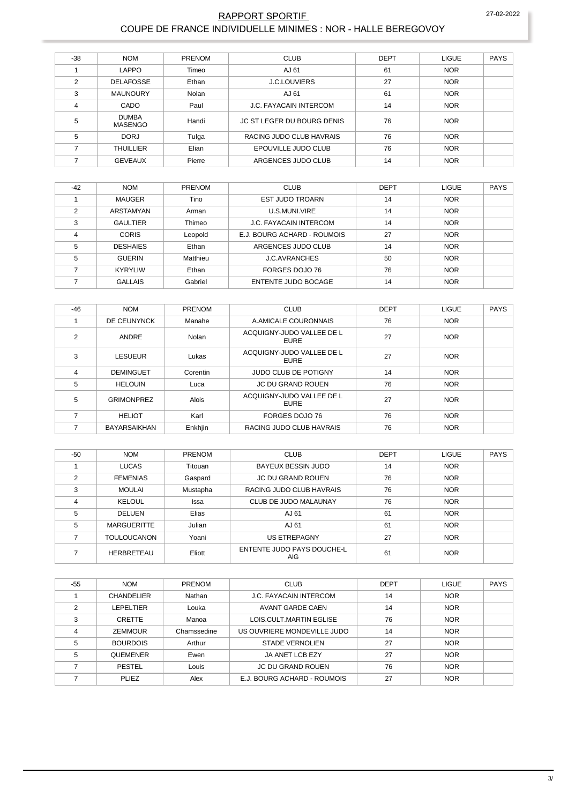### RAPPORT SPORTIF 27-02-2022 COUPE DE FRANCE INDIVIDUELLE MINIMES : NOR - HALLE BEREGOVOY

| $-38$          | <b>NOM</b>                     | PRENOM | <b>CLUB</b>                       | <b>DEPT</b> | <b>LIGUE</b> | <b>PAYS</b> |
|----------------|--------------------------------|--------|-----------------------------------|-------------|--------------|-------------|
|                | LAPPO                          | Timeo  | AJ 61                             | 61          | <b>NOR</b>   |             |
| $\mathfrak{p}$ | <b>DELAFOSSE</b>               | Ethan  | <b>J.C.LOUVIERS</b>               | 27          | <b>NOR</b>   |             |
| 3              | <b>MAUNOURY</b>                | Nolan  | AJ 61                             | 61          | <b>NOR</b>   |             |
| 4              | CADO                           | Paul   | <b>J.C. FAYACAIN INTERCOM</b>     | 14          | <b>NOR</b>   |             |
| 5              | <b>DUMBA</b><br><b>MASENGO</b> | Handi  | <b>JC ST LEGER DU BOURG DENIS</b> | 76          | <b>NOR</b>   |             |
| 5              | DORJ                           | Tulga  | RACING JUDO CLUB HAVRAIS          | 76          | <b>NOR</b>   |             |
| ⇁              | <b>THUILLIER</b>               | Elian  | EPOUVILLE JUDO CLUB               | 76          | <b>NOR</b>   |             |
|                | <b>GEVEAUX</b>                 | Pierre | ARGENCES JUDO CLUB                | 14          | <b>NOR</b>   |             |

| $-42$         | <b>NOM</b>      | <b>PRENOM</b> | <b>CLUB</b>                   | <b>DEPT</b> | <b>LIGUE</b> | <b>PAYS</b> |
|---------------|-----------------|---------------|-------------------------------|-------------|--------------|-------------|
|               | <b>MAUGER</b>   | Tino          | <b>EST JUDO TROARN</b>        | 14          | <b>NOR</b>   |             |
| $\mathcal{P}$ | ARSTAMYAN       | Arman         | U.S.MUNI.VIRE                 | 14          | <b>NOR</b>   |             |
| 3             | <b>GAULTIER</b> | Thimeo        | <b>J.C. FAYACAIN INTERCOM</b> | 14          | <b>NOR</b>   |             |
| 4             | <b>CORIS</b>    | Leopold       | E.J. BOURG ACHARD - ROUMOIS   | 27          | <b>NOR</b>   |             |
| 5             | <b>DESHAIES</b> | Ethan         | ARGENCES JUDO CLUB            | 14          | <b>NOR</b>   |             |
| 5             | <b>GUERIN</b>   | Matthieu      | <b>J.C.AVRANCHES</b>          | 50          | <b>NOR</b>   |             |
|               | <b>KYRYLIW</b>  | Ethan         | FORGES DOJO 76                | 76          | <b>NOR</b>   |             |
|               | <b>GALLAIS</b>  | Gabriel       | ENTENTE JUDO BOCAGE           | 14          | <b>NOR</b>   |             |

| $-46$          | <b>NOM</b>          | PRENOM       | <b>CLUB</b>                              | <b>DEPT</b> | <b>LIGUE</b> | <b>PAYS</b> |
|----------------|---------------------|--------------|------------------------------------------|-------------|--------------|-------------|
|                | DE CEUNYNCK         | Manahe       | A.AMICALE COURONNAIS                     | 76          | <b>NOR</b>   |             |
| 2              | ANDRE               | Nolan        | ACQUIGNY-JUDO VALLEE DE L<br><b>EURE</b> | 27          | <b>NOR</b>   |             |
| 3              | <b>LESUEUR</b>      | Lukas        | ACQUIGNY-JUDO VALLEE DE L<br><b>EURE</b> | 27          | <b>NOR</b>   |             |
| $\overline{4}$ | <b>DEMINGUET</b>    | Corentin     | <b>JUDO CLUB DE POTIGNY</b>              | 14          | <b>NOR</b>   |             |
| 5              | <b>HELOUIN</b>      | Luca         | <b>JC DU GRAND ROUEN</b>                 | 76          | <b>NOR</b>   |             |
| 5              | <b>GRIMONPREZ</b>   | <b>Alois</b> | ACQUIGNY-JUDO VALLEE DE L<br>EURE        | 27          | <b>NOR</b>   |             |
| 7              | <b>HELIOT</b>       | Karl         | FORGES DOJO 76                           | 76          | <b>NOR</b>   |             |
|                | <b>BAYARSAIKHAN</b> | Enkhjin      | RACING JUDO CLUB HAVRAIS                 | 76          | <b>NOR</b>   |             |

| -50           | <b>NOM</b>         | PRENOM   | <b>CLUB</b>                              | <b>DEPT</b> | <b>LIGUE</b> | <b>PAYS</b> |
|---------------|--------------------|----------|------------------------------------------|-------------|--------------|-------------|
|               | <b>LUCAS</b>       | Titouan  | <b>BAYEUX BESSIN JUDO</b>                | 14          | <b>NOR</b>   |             |
| $\mathcal{P}$ | <b>FEMENIAS</b>    | Gaspard  | <b>JC DU GRAND ROUEN</b>                 | 76          | <b>NOR</b>   |             |
| 3             | <b>MOULAI</b>      | Mustapha | RACING JUDO CLUB HAVRAIS                 | 76          | <b>NOR</b>   |             |
| 4             | <b>KELOUL</b>      | Issa     | CLUB DE JUDO MALAUNAY                    | 76          | <b>NOR</b>   |             |
| 5             | <b>DELUEN</b>      | Elias    | AJ 61                                    | 61          | <b>NOR</b>   |             |
| 5             | <b>MARGUERITTE</b> | Julian   | AJ 61                                    | 61          | <b>NOR</b>   |             |
|               | <b>TOULOUCANON</b> | Yoani    | <b>US ETREPAGNY</b>                      | 27          | <b>NOR</b>   |             |
|               | <b>HERBRETEAU</b>  | Eliott   | <b>ENTENTE JUDO PAYS DOUCHE-L</b><br>AIG | 61          | <b>NOR</b>   |             |

| $-55$ | <b>NOM</b>        | PRENOM      | <b>CLUB</b>                   | <b>DEPT</b> | <b>LIGUE</b> | <b>PAYS</b> |
|-------|-------------------|-------------|-------------------------------|-------------|--------------|-------------|
|       | <b>CHANDELIER</b> | Nathan      | <b>J.C. FAYACAIN INTERCOM</b> | 14          | <b>NOR</b>   |             |
| ◠     | LEPELTIER         | Louka       | <b>AVANT GARDE CAEN</b>       | 14          | <b>NOR</b>   |             |
| 3     | <b>CRETTE</b>     | Manoa       | LOIS CULT MARTIN EGLISE       | 76          | <b>NOR</b>   |             |
| 4     | <b>ZEMMOUR</b>    | Chamssedine | US OUVRIERE MONDEVILLE JUDO   | 14          | <b>NOR</b>   |             |
| 5     | <b>BOURDOIS</b>   | Arthur      | <b>STADE VERNOLIEN</b>        | 27          | <b>NOR</b>   |             |
| 5     | <b>QUEMENER</b>   | Ewen        | JA ANET LCB EZY               | 27          | <b>NOR</b>   |             |
|       | <b>PESTEL</b>     | Louis       | <b>JC DU GRAND ROUEN</b>      | 76          | <b>NOR</b>   |             |
|       | <b>PLIEZ</b>      | Alex        | E.J. BOURG ACHARD - ROUMOIS   | 27          | <b>NOR</b>   |             |